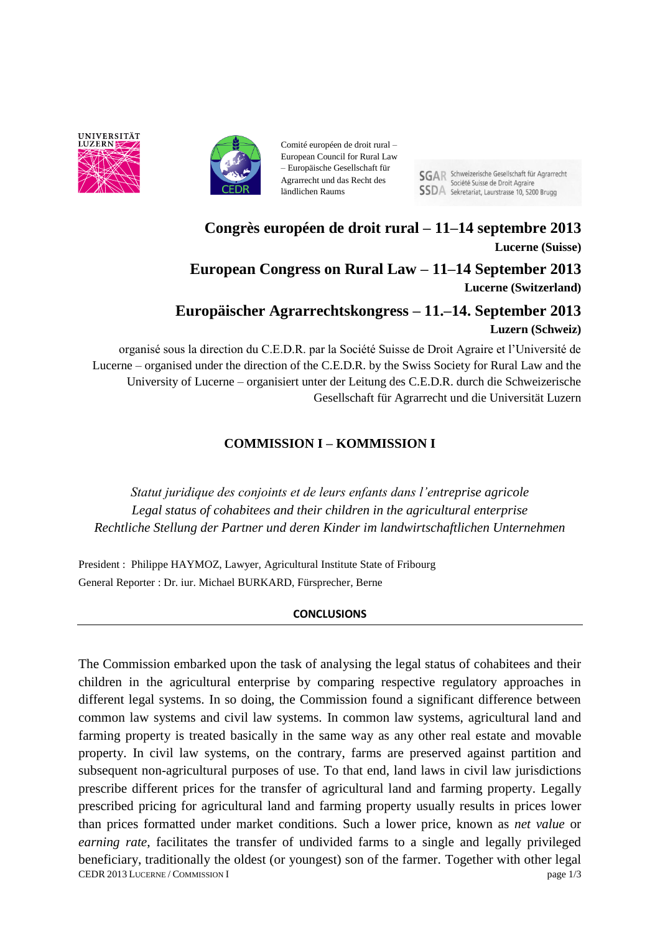



Comité européen de droit rural – European Council for Rural Law – Europäische Gesellschaft für Agrarrecht und das Recht des ländlichen Raums

**SGAR** Schweizerische Gesellschaft für Agrarrecht Société Suisse de Droit Agraire **SSDA** Sekretariat, Laurstrasse 10, 5200 Brugg

**Congrès européen de droit rural – 11–14 septembre 2013 Lucerne (Suisse) European Congress on Rural Law – 11–14 September 2013 Lucerne (Switzerland)**

# **Europäischer Agrarrechtskongress – 11.–14. September 2013 Luzern (Schweiz)**

organisé sous la direction du C.E.D.R. par la Société Suisse de Droit Agraire et l'Université de Lucerne – organised under the direction of the C.E.D.R. by the Swiss Society for Rural Law and the University of Lucerne – organisiert unter der Leitung des C.E.D.R. durch die Schweizerische Gesellschaft für Agrarrecht und die Universität Luzern

# **COMMISSION I – KOMMISSION I**

*Statut juridique des conjoints et de leurs enfants dans l'entreprise agricole Legal status of cohabitees and their children in the agricultural enterprise Rechtliche Stellung der Partner und deren Kinder im landwirtschaftlichen Unternehmen*

President : Philippe HAYMOZ, Lawyer, Agricultural Institute State of Fribourg General Reporter : Dr. iur. Michael BURKARD, Fürsprecher, Berne

## **CONCLUSIONS**

CEDR 2013 LUCERNE / COMMISSION I page 1/3 The Commission embarked upon the task of analysing the legal status of cohabitees and their children in the agricultural enterprise by comparing respective regulatory approaches in different legal systems. In so doing, the Commission found a significant difference between common law systems and civil law systems. In common law systems, agricultural land and farming property is treated basically in the same way as any other real estate and movable property. In civil law systems, on the contrary, farms are preserved against partition and subsequent non-agricultural purposes of use. To that end, land laws in civil law jurisdictions prescribe different prices for the transfer of agricultural land and farming property. Legally prescribed pricing for agricultural land and farming property usually results in prices lower than prices formatted under market conditions. Such a lower price, known as *net value* or *earning rate*, facilitates the transfer of undivided farms to a single and legally privileged beneficiary, traditionally the oldest (or youngest) son of the farmer. Together with other legal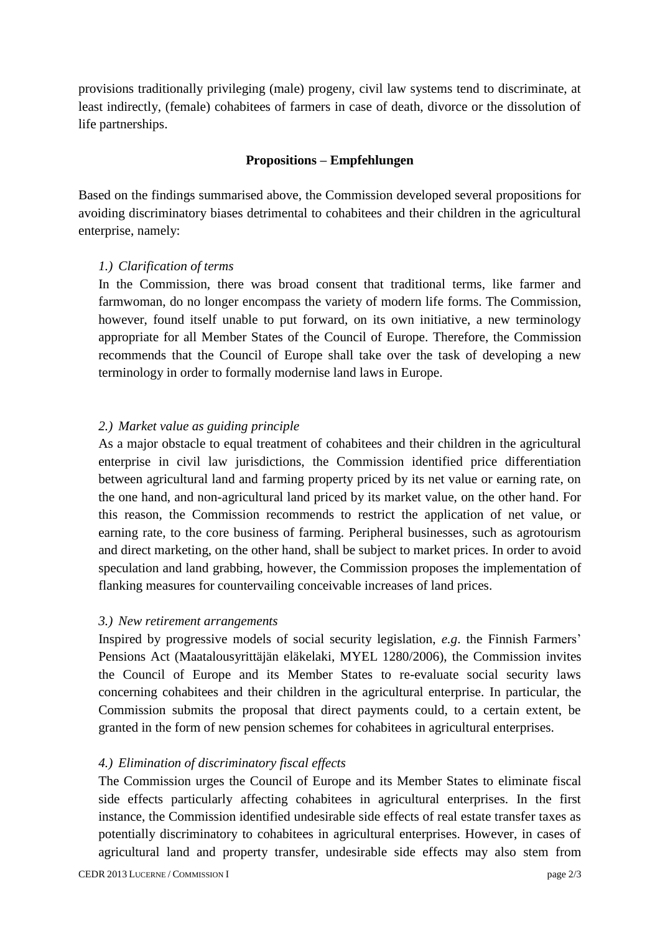provisions traditionally privileging (male) progeny, civil law systems tend to discriminate, at least indirectly, (female) cohabitees of farmers in case of death, divorce or the dissolution of life partnerships.

## **Propositions – Empfehlungen**

Based on the findings summarised above, the Commission developed several propositions for avoiding discriminatory biases detrimental to cohabitees and their children in the agricultural enterprise, namely:

#### *1.) Clarification of terms*

In the Commission, there was broad consent that traditional terms, like farmer and farmwoman, do no longer encompass the variety of modern life forms. The Commission, however, found itself unable to put forward, on its own initiative, a new terminology appropriate for all Member States of the Council of Europe. Therefore, the Commission recommends that the Council of Europe shall take over the task of developing a new terminology in order to formally modernise land laws in Europe.

#### *2.) Market value as guiding principle*

As a major obstacle to equal treatment of cohabitees and their children in the agricultural enterprise in civil law jurisdictions, the Commission identified price differentiation between agricultural land and farming property priced by its net value or earning rate, on the one hand, and non-agricultural land priced by its market value, on the other hand. For this reason, the Commission recommends to restrict the application of net value, or earning rate, to the core business of farming. Peripheral businesses, such as agrotourism and direct marketing, on the other hand, shall be subject to market prices. In order to avoid speculation and land grabbing, however, the Commission proposes the implementation of flanking measures for countervailing conceivable increases of land prices.

#### *3.) New retirement arrangements*

Inspired by progressive models of social security legislation, *e.g*. the Finnish Farmers' Pensions Act (Maatalousyrittäjän eläkelaki, MYEL 1280/2006), the Commission invites the Council of Europe and its Member States to re-evaluate social security laws concerning cohabitees and their children in the agricultural enterprise. In particular, the Commission submits the proposal that direct payments could, to a certain extent, be granted in the form of new pension schemes for cohabitees in agricultural enterprises.

#### *4.) Elimination of discriminatory fiscal effects*

The Commission urges the Council of Europe and its Member States to eliminate fiscal side effects particularly affecting cohabitees in agricultural enterprises. In the first instance, the Commission identified undesirable side effects of real estate transfer taxes as potentially discriminatory to cohabitees in agricultural enterprises. However, in cases of agricultural land and property transfer, undesirable side effects may also stem from